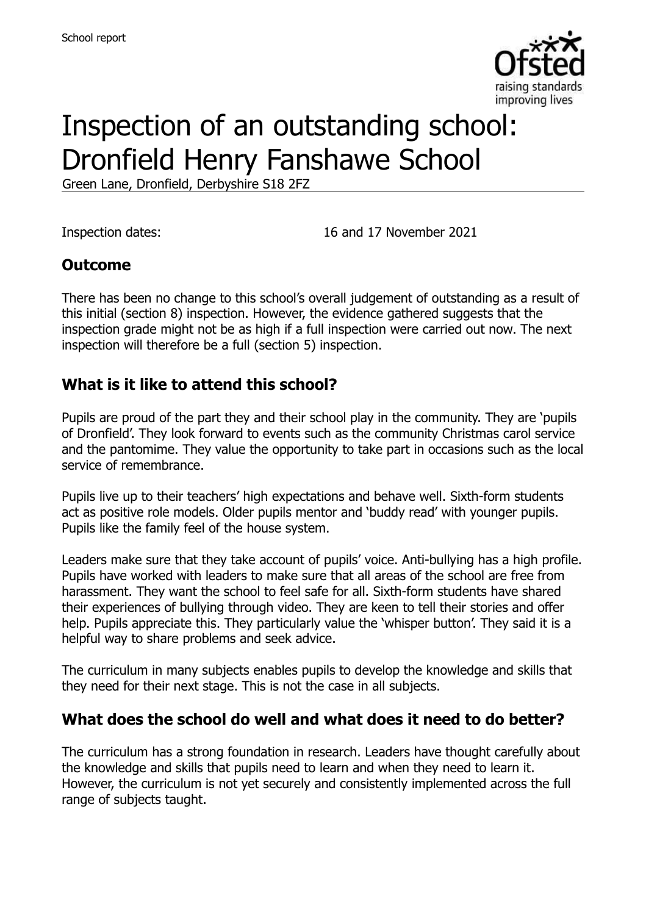

# Inspection of an outstanding school: Dronfield Henry Fanshawe School

Green Lane, Dronfield, Derbyshire S18 2FZ

Inspection dates: 16 and 17 November 2021

#### **Outcome**

There has been no change to this school's overall judgement of outstanding as a result of this initial (section 8) inspection. However, the evidence gathered suggests that the inspection grade might not be as high if a full inspection were carried out now. The next inspection will therefore be a full (section 5) inspection.

#### **What is it like to attend this school?**

Pupils are proud of the part they and their school play in the community. They are 'pupils of Dronfield'. They look forward to events such as the community Christmas carol service and the pantomime. They value the opportunity to take part in occasions such as the local service of remembrance.

Pupils live up to their teachers' high expectations and behave well. Sixth-form students act as positive role models. Older pupils mentor and 'buddy read' with younger pupils. Pupils like the family feel of the house system.

Leaders make sure that they take account of pupils' voice. Anti-bullying has a high profile. Pupils have worked with leaders to make sure that all areas of the school are free from harassment. They want the school to feel safe for all. Sixth-form students have shared their experiences of bullying through video. They are keen to tell their stories and offer help. Pupils appreciate this. They particularly value the 'whisper button'. They said it is a helpful way to share problems and seek advice.

The curriculum in many subjects enables pupils to develop the knowledge and skills that they need for their next stage. This is not the case in all subjects.

### **What does the school do well and what does it need to do better?**

The curriculum has a strong foundation in research. Leaders have thought carefully about the knowledge and skills that pupils need to learn and when they need to learn it. However, the curriculum is not yet securely and consistently implemented across the full range of subjects taught.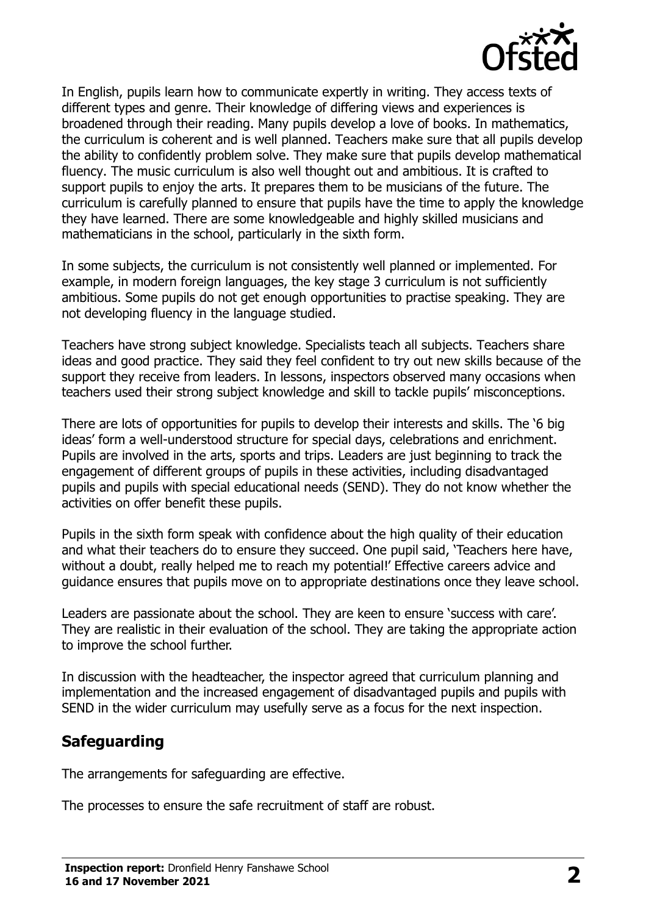

In English, pupils learn how to communicate expertly in writing. They access texts of different types and genre. Their knowledge of differing views and experiences is broadened through their reading. Many pupils develop a love of books. In mathematics, the curriculum is coherent and is well planned. Teachers make sure that all pupils develop the ability to confidently problem solve. They make sure that pupils develop mathematical fluency. The music curriculum is also well thought out and ambitious. It is crafted to support pupils to enjoy the arts. It prepares them to be musicians of the future. The curriculum is carefully planned to ensure that pupils have the time to apply the knowledge they have learned. There are some knowledgeable and highly skilled musicians and mathematicians in the school, particularly in the sixth form.

In some subjects, the curriculum is not consistently well planned or implemented. For example, in modern foreign languages, the key stage 3 curriculum is not sufficiently ambitious. Some pupils do not get enough opportunities to practise speaking. They are not developing fluency in the language studied.

Teachers have strong subject knowledge. Specialists teach all subjects. Teachers share ideas and good practice. They said they feel confident to try out new skills because of the support they receive from leaders. In lessons, inspectors observed many occasions when teachers used their strong subject knowledge and skill to tackle pupils' misconceptions.

There are lots of opportunities for pupils to develop their interests and skills. The '6 big ideas' form a well-understood structure for special days, celebrations and enrichment. Pupils are involved in the arts, sports and trips. Leaders are just beginning to track the engagement of different groups of pupils in these activities, including disadvantaged pupils and pupils with special educational needs (SEND). They do not know whether the activities on offer benefit these pupils.

Pupils in the sixth form speak with confidence about the high quality of their education and what their teachers do to ensure they succeed. One pupil said, 'Teachers here have, without a doubt, really helped me to reach my potential!' Effective careers advice and guidance ensures that pupils move on to appropriate destinations once they leave school.

Leaders are passionate about the school. They are keen to ensure 'success with care'. They are realistic in their evaluation of the school. They are taking the appropriate action to improve the school further.

In discussion with the headteacher, the inspector agreed that curriculum planning and implementation and the increased engagement of disadvantaged pupils and pupils with SEND in the wider curriculum may usefully serve as a focus for the next inspection.

# **Safeguarding**

The arrangements for safeguarding are effective.

The processes to ensure the safe recruitment of staff are robust.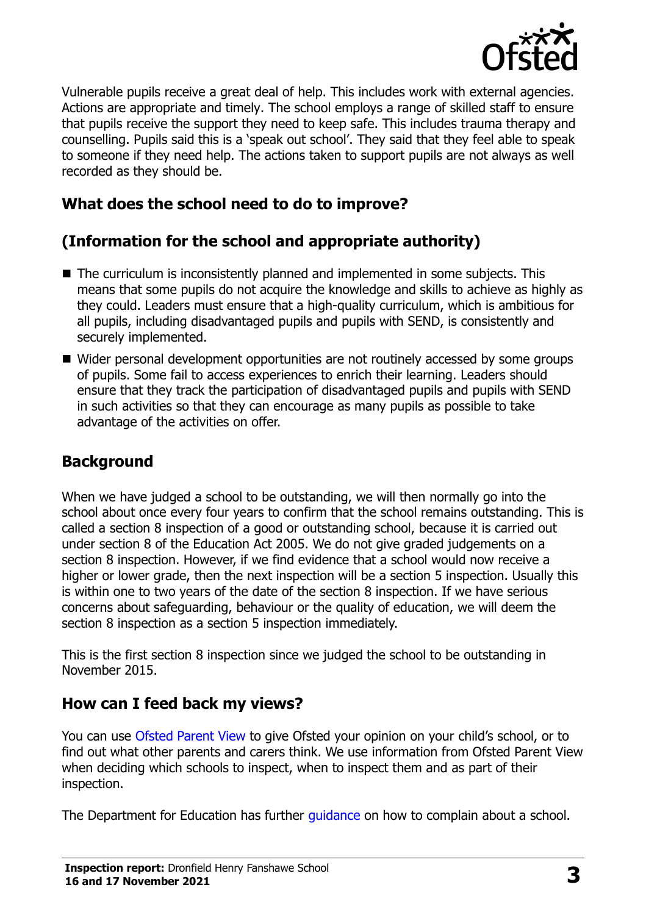

Vulnerable pupils receive a great deal of help. This includes work with external agencies. Actions are appropriate and timely. The school employs a range of skilled staff to ensure that pupils receive the support they need to keep safe. This includes trauma therapy and counselling. Pupils said this is a 'speak out school'. They said that they feel able to speak to someone if they need help. The actions taken to support pupils are not always as well recorded as they should be.

## **What does the school need to do to improve?**

# **(Information for the school and appropriate authority)**

- The curriculum is inconsistently planned and implemented in some subjects. This means that some pupils do not acquire the knowledge and skills to achieve as highly as they could. Leaders must ensure that a high-quality curriculum, which is ambitious for all pupils, including disadvantaged pupils and pupils with SEND, is consistently and securely implemented.
- Wider personal development opportunities are not routinely accessed by some groups of pupils. Some fail to access experiences to enrich their learning. Leaders should ensure that they track the participation of disadvantaged pupils and pupils with SEND in such activities so that they can encourage as many pupils as possible to take advantage of the activities on offer.

# **Background**

When we have judged a school to be outstanding, we will then normally go into the school about once every four years to confirm that the school remains outstanding. This is called a section 8 inspection of a good or outstanding school, because it is carried out under section 8 of the Education Act 2005. We do not give graded judgements on a section 8 inspection. However, if we find evidence that a school would now receive a higher or lower grade, then the next inspection will be a section 5 inspection. Usually this is within one to two years of the date of the section 8 inspection. If we have serious concerns about safeguarding, behaviour or the quality of education, we will deem the section 8 inspection as a section 5 inspection immediately.

This is the first section 8 inspection since we judged the school to be outstanding in November 2015.

### **How can I feed back my views?**

You can use [Ofsted Parent View](https://parentview.ofsted.gov.uk/) to give Ofsted your opinion on your child's school, or to find out what other parents and carers think. We use information from Ofsted Parent View when deciding which schools to inspect, when to inspect them and as part of their inspection.

The Department for Education has further quidance on how to complain about a school.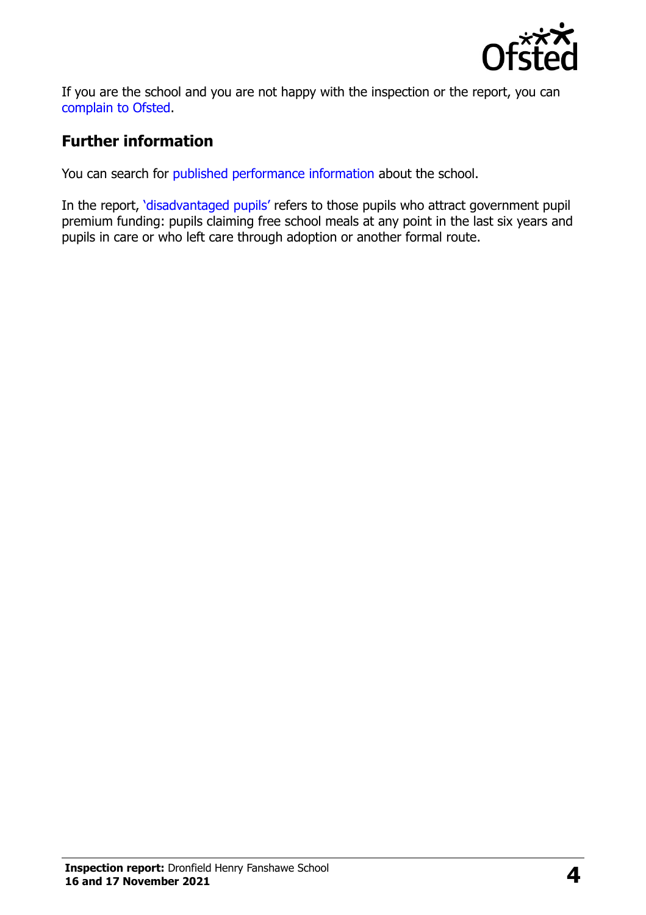

If you are the school and you are not happy with the inspection or the report, you can [complain to Ofsted.](https://www.gov.uk/complain-ofsted-report)

# **Further information**

You can search for [published performance information](http://www.compare-school-performance.service.gov.uk/) about the school.

In the report, '[disadvantaged pupils](http://www.gov.uk/guidance/pupil-premium-information-for-schools-and-alternative-provision-settings)' refers to those pupils who attract government pupil premium funding: pupils claiming free school meals at any point in the last six years and pupils in care or who left care through adoption or another formal route.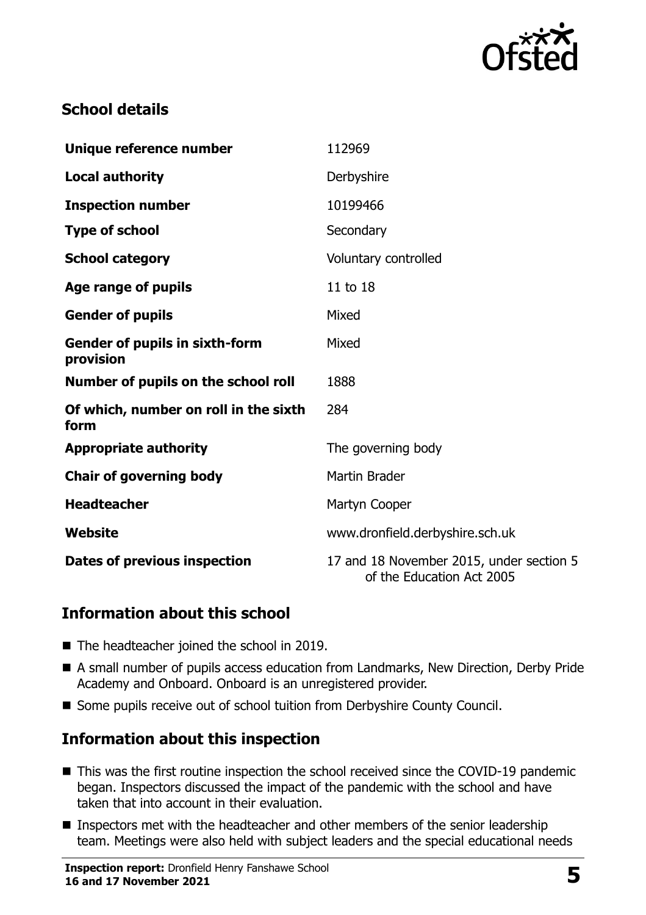

# **School details**

| Unique reference number                            | 112969                                                                |
|----------------------------------------------------|-----------------------------------------------------------------------|
| <b>Local authority</b>                             | Derbyshire                                                            |
| <b>Inspection number</b>                           | 10199466                                                              |
| <b>Type of school</b>                              | Secondary                                                             |
| <b>School category</b>                             | Voluntary controlled                                                  |
| Age range of pupils                                | 11 to 18                                                              |
| <b>Gender of pupils</b>                            | Mixed                                                                 |
| <b>Gender of pupils in sixth-form</b><br>provision | Mixed                                                                 |
| Number of pupils on the school roll                | 1888                                                                  |
| Of which, number on roll in the sixth<br>form      | 284                                                                   |
| <b>Appropriate authority</b>                       | The governing body                                                    |
| <b>Chair of governing body</b>                     | <b>Martin Brader</b>                                                  |
| <b>Headteacher</b>                                 | Martyn Cooper                                                         |
| Website                                            | www.dronfield.derbyshire.sch.uk                                       |
| Dates of previous inspection                       | 17 and 18 November 2015, under section 5<br>of the Education Act 2005 |

### **Information about this school**

- The headteacher joined the school in 2019.
- A small number of pupils access education from Landmarks, New Direction, Derby Pride Academy and Onboard. Onboard is an unregistered provider.
- Some pupils receive out of school tuition from Derbyshire County Council.

# **Information about this inspection**

- This was the first routine inspection the school received since the COVID-19 pandemic began. Inspectors discussed the impact of the pandemic with the school and have taken that into account in their evaluation.
- Inspectors met with the headteacher and other members of the senior leadership team. Meetings were also held with subject leaders and the special educational needs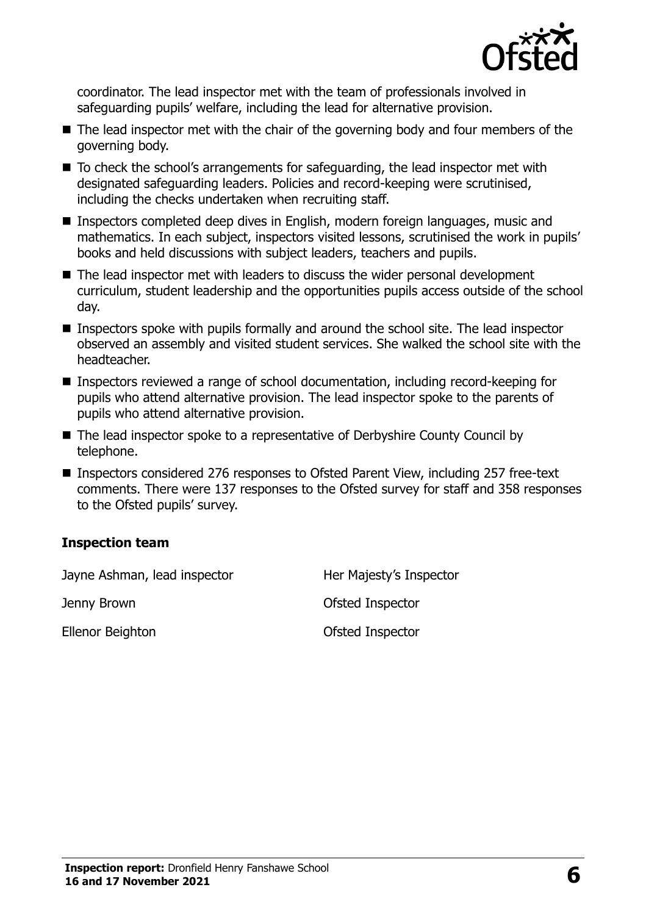

coordinator. The lead inspector met with the team of professionals involved in safeguarding pupils' welfare, including the lead for alternative provision.

- The lead inspector met with the chair of the governing body and four members of the governing body.
- To check the school's arrangements for safeguarding, the lead inspector met with designated safeguarding leaders. Policies and record-keeping were scrutinised, including the checks undertaken when recruiting staff.
- Inspectors completed deep dives in English, modern foreign languages, music and mathematics. In each subject, inspectors visited lessons, scrutinised the work in pupils' books and held discussions with subject leaders, teachers and pupils.
- The lead inspector met with leaders to discuss the wider personal development curriculum, student leadership and the opportunities pupils access outside of the school day.
- **Inspectors spoke with pupils formally and around the school site. The lead inspector** observed an assembly and visited student services. She walked the school site with the headteacher.
- Inspectors reviewed a range of school documentation, including record-keeping for pupils who attend alternative provision. The lead inspector spoke to the parents of pupils who attend alternative provision.
- The lead inspector spoke to a representative of Derbyshire County Council by telephone.
- Inspectors considered 276 responses to Ofsted Parent View, including 257 free-text comments. There were 137 responses to the Ofsted survey for staff and 358 responses to the Ofsted pupils' survey.

#### **Inspection team**

| Jayne Ashman, lead inspector | Her Majesty's Inspector |
|------------------------------|-------------------------|
| Jenny Brown                  | Ofsted Inspector        |
| Ellenor Beighton             | Ofsted Inspector        |